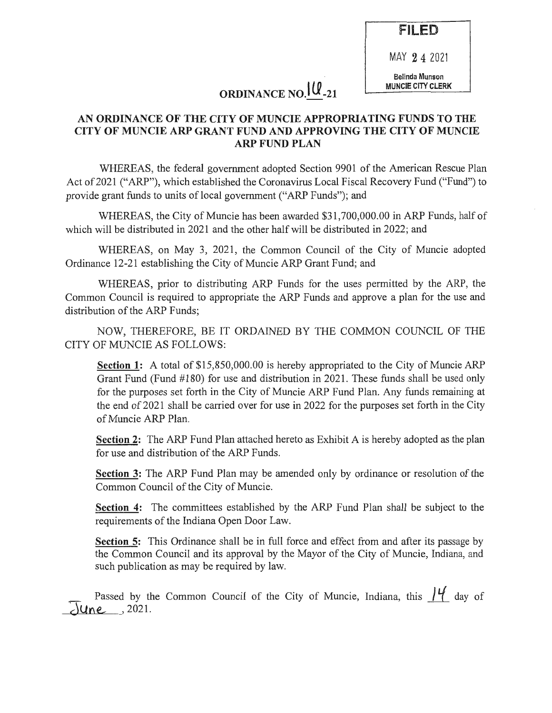FILED

MAY 2 4 2021

Belinda Munson MUNCIE CITY CLERK

# ORDINANCE NO.  $\mathcal{U}_{-21}$

#### AN ORDINANCE OF THE CITY OF MUNCIE APPROPRIATING FUNDS TO THE CITY OF MUNCIE ARP GRANT FUND AND APPROVING THE CITY OF MUNCIE ARP FUND PLAN

WHEREAS, the federal government adopted Section 9901 of the American Rescue Plan Act of 2021 ("ARP"), which established the Coronavirus Local Fiscal Recovery Fund ("Fund") to provide grant funds to units of local government ("ARP Funds"); and

WHEREAS, the City of Muncie has been awarded \$31,700,000.00 in ARP Funds, half of which will be distributed in 2021 and the other half will be distributed in 2022; and

WHEREAS, on May 3, 2021, the Common Council of the City of Muncie adopted Ordinance 12-21 establishing the City of Muncie ARP Grant Fund; and

WHEREAS, prior to distributing ARP Funds for the uses permitted by the ARP, the Common Council is required to appropriate the ARP Funds and approve a plan for the use and distribution of the ARP Funds;

NOW, THEREFORE, BE IT ORDAINED BY THE COMMON COUNCIL OF THE CITY OF MUNCIE AS FOLLOWS:

Section 1: A total of \$15,850,000.00 is hereby appropriated to the City of Muncie ARP Grant Fund (Fund #180) for use and distribution in 2021. These funds shall be used only for the purposes set forth in the City of Muncie ARP Fund Plan. Any funds remaining at the end of 2021 shall be carried over for use in 2022 for the purposes set forth in the City of Muncie ARP Plan.

Section 2: The ARP Fund Plan attached hereto as Exhibit A is hereby adopted as the plan for use and distribution of the ARP Funds.

Section 3: The ARP Fund Plan may be amended only by ordinance or resolution of the Common Council of the City of Muncie.

Section 4: The committees established by the ARP Fund Plan shall be subject to the requirements of the Indiana Open Door Law.

Section 5: This Ordinance shall be in full force and effect from and after its passage by the Common Council and its approval by the Mayor of the City of Muncie, Indiana, and such publication as may be required by law.

Passed by the Common Council of the City of Muncie, Indiana, this  $\frac{14}{14}$  day of  $\overline{\text{Mune}}$ , 2021.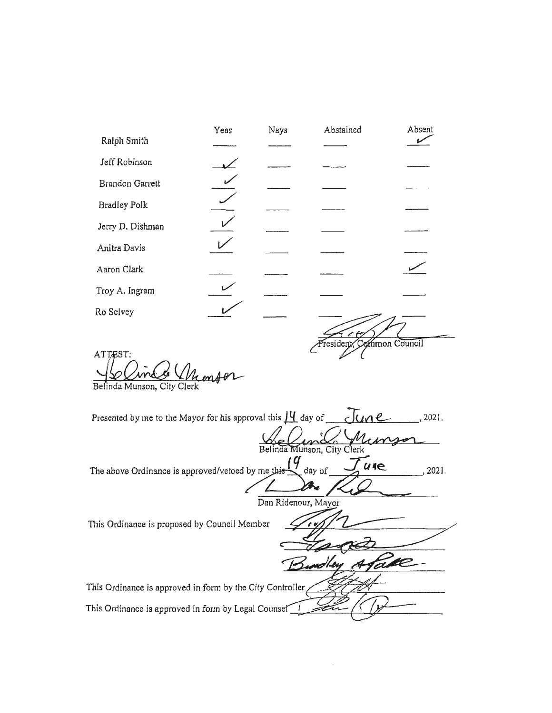| Ralph Smith                                                                                                                                                                                      |  |  |  |  |  |
|--------------------------------------------------------------------------------------------------------------------------------------------------------------------------------------------------|--|--|--|--|--|
| Jeff Robinson                                                                                                                                                                                    |  |  |  |  |  |
| Brandon Garrett                                                                                                                                                                                  |  |  |  |  |  |
| <b>Bradley Polk</b>                                                                                                                                                                              |  |  |  |  |  |
| Jerry D. Dishman                                                                                                                                                                                 |  |  |  |  |  |
| Anitra Davis                                                                                                                                                                                     |  |  |  |  |  |
| Aaron Clark                                                                                                                                                                                      |  |  |  |  |  |
| Troy A. Ingram                                                                                                                                                                                   |  |  |  |  |  |
| Ro Selvey                                                                                                                                                                                        |  |  |  |  |  |
| resident<br>mmon Council<br>ATTEST:<br>Belinda Munson, City Clerk<br>Presented by me to the Mayor for his approval this $\mu$ day of $\mu$<br>, 2021.<br>Belinda Munson, City Clerk<br>(9<br>ule |  |  |  |  |  |
| day of<br>The above Ordinance is approved/vetoed by me this<br>2021.<br>Dan Ridenour, Mayor                                                                                                      |  |  |  |  |  |
| This Ordinance is proposed by Council Member<br>Take<br>Eundley A                                                                                                                                |  |  |  |  |  |
| This Ordinance is approved in form by the City Controller                                                                                                                                        |  |  |  |  |  |
| This Ordinance is approved in form by Legal Counsel                                                                                                                                              |  |  |  |  |  |

Yeas

Nays

Abstained

Absent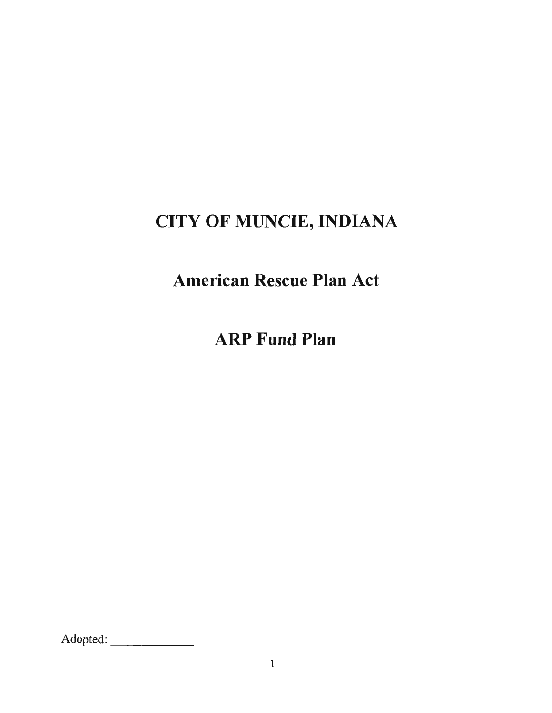# CITY OF MUNCIE, INDIANA

American Rescue Plan Act

ARP Fund Plan

Adopted: \_\_\_ \_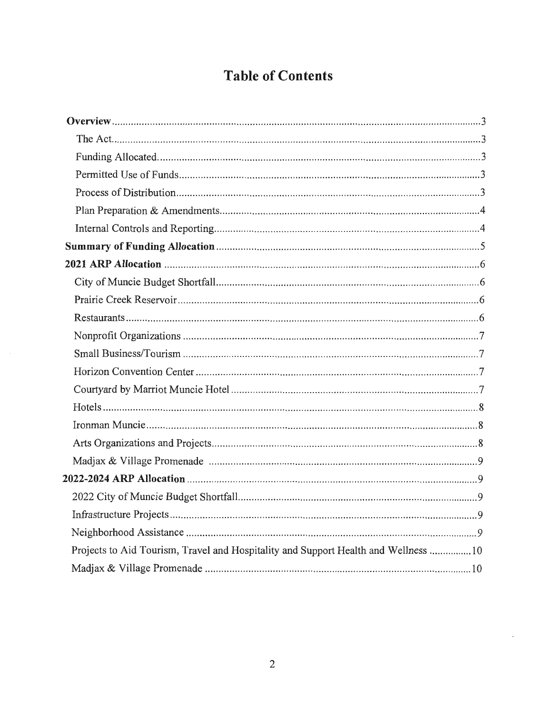## **Table of Contents**

| Projects to Aid Tourism, Travel and Hospitality and Support Health and Wellness 10 |
|------------------------------------------------------------------------------------|
|                                                                                    |

 $\Box$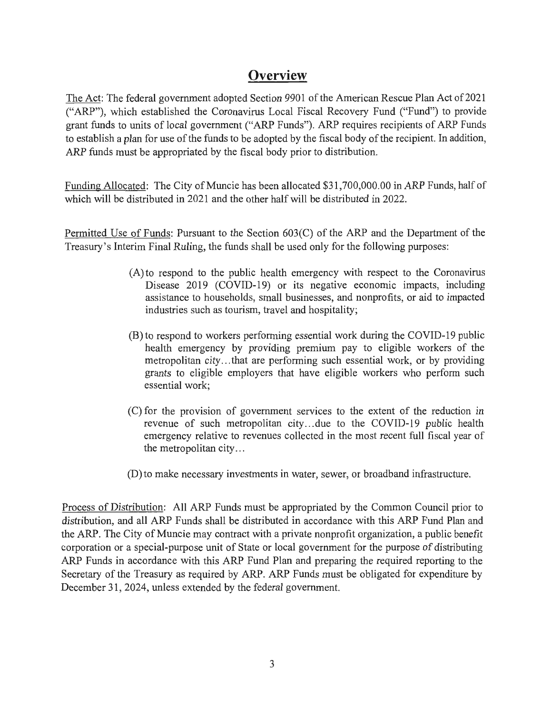## **Overview**

The Act: The federal government adopted Section 9901 of the American Rescue Plan Act of 2021 ("ARP"), which established the Coronavirus Local Fiscal Recovery Fund ("Fund") to provide grant funds to units of local government ("ARP Funds"). ARP requires recipients of ARP Funds to establish a plan for use of the funds to be adopted by the fiscal body of the recipient. In addition, ARP funds must be appropriated by the fiscal body prior to distribution.

Funding Allocated: The City of Muncie has been allocated \$31,700,000.00 in ARP Funds, half of which will be distributed in 2021 and the other half will be distributed in 2022.

Permitted Use of Funds: Pursuant to the Section 603(C) of the ARP and the Department of the Treasury's Interim Final Ruling, the funds shall be used only for the following purposes:

- $(A)$  to respond to the public health emergency with respect to the Coronavirus Disease 2019 (COVID-19) or its negative economic impacts, including assistance to households, small businesses, and nonprofits, or aid to impacted industries such as tourism, travel and hospitality;
- (B) to respond to workers performing essential work during the COVID-19 public health emergency by providing premium pay to eligible workers of the metropolitan city ... that are performing such essential work, or by providing grants to eligible employers that have eligible workers who perform such essential work;
- (C) for the provision of government services to the extent of the reduction in revenue of such metropolitan city...due to the COVID-19 public health emergency relative to revenues collected in the most recent full fiscal year of the metropolitan city ...
- (D) to make necessary investments in water, sewer, or broadband infrastructure.

Process of Distribution: All ARP Funds must be appropriated by the Common Council prior to distribution, and all ARP Funds shall be distributed in accordance with this ARP Fund Plan and the ARP. The City of Muncie may contract with a private nonprofit organization, a public benefit corporation or a special-purpose unit of State or local government for the purpose of distributing ARP Funds in accordance with this ARP Fund Plan and preparing the required reporting to the Secretary of the Treasury as required by ARP. ARP Funds must be obligated for expenditure by December 31, 2024, unless extended by the federal government.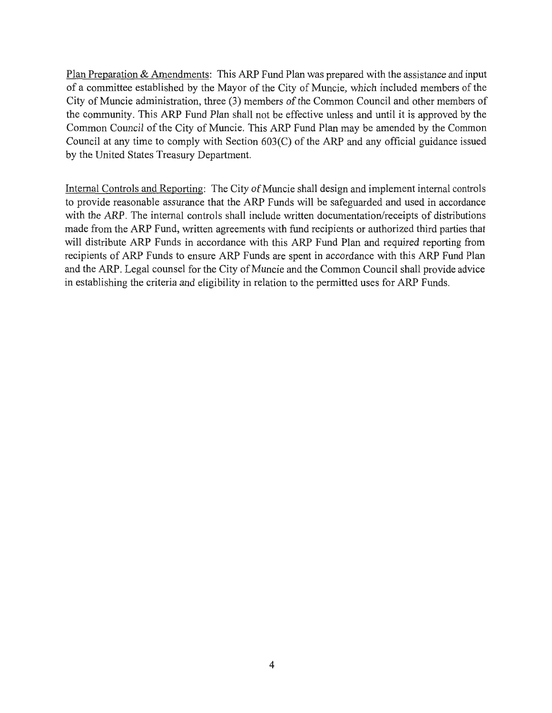Plan Preparation & Amendments: This ARP Fund Plan was prepared with the assistance and input of a committee established by the Mayor of the City of Muncie, which included members of the City of Muncie administration, three (3) members of the Common Council and other members of the community. This ARP Fund Plan shall not be effective unless and until it is approved by the Common Council of the City of Muncie. This ARP Fund Plan may be amended by the Common Council at any time to comply with Section 603(C) of the ARP and any official guidance issued by the United States Treasury Department.

Internal Controls and Reporting: The City of Muncie shall design and implement internal controls to provide reasonable assurance that the ARP Funds will be safeguarded and used in accordance with the ARP. The internal controls shall include written documentation/receipts of distributions made from the ARP Fund, written agreements with fund recipients or authorized third parties that will distribute ARP Funds in accordance with this ARP Fund Plan and required reporting from recipients of ARP Funds to ensure ARP Funds are spent in accordance with this ARP Fund Plan and the ARP. Legal counsel for the City of Muncie and the Common Council shall provide advice in establishing the criteria and eligibility in relation to the permitted uses for ARP Funds.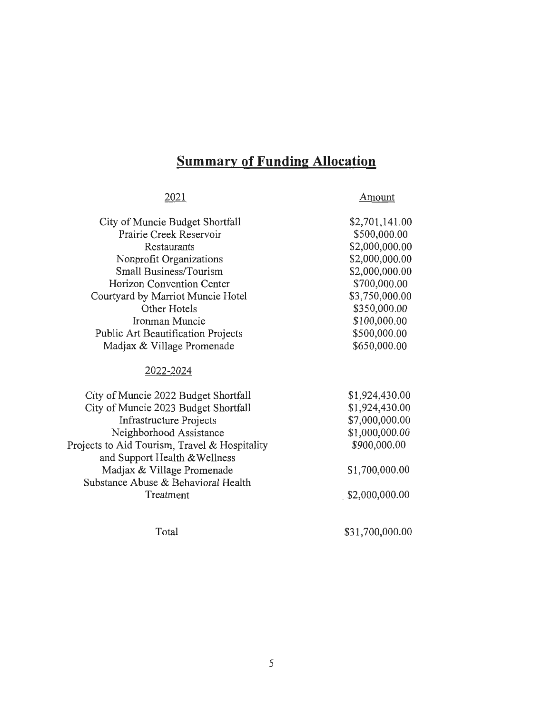# **Summary of Funding Allocation**

| 2021                                          | Amount          |
|-----------------------------------------------|-----------------|
| City of Muncie Budget Shortfall               | \$2,701,141.00  |
| Prairie Creek Reservoir                       | \$500,000.00    |
| Restaurants                                   | \$2,000,000.00  |
| Nonprofit Organizations                       | \$2,000,000.00  |
| Small Business/Tourism                        | \$2,000,000.00  |
| Horizon Convention Center                     | \$700,000.00    |
| Courtyard by Marriot Muncie Hotel             | \$3,750,000.00  |
| Other Hotels                                  | \$350,000.00    |
| Ironman Muncie                                | \$100,000.00    |
| Public Art Beautification Projects            | \$500,000.00    |
| Madjax & Village Promenade                    | \$650,000.00    |
| 2022-2024                                     |                 |
| City of Muncie 2022 Budget Shortfall          | \$1,924,430.00  |
| City of Muncie 2023 Budget Shortfall          | \$1,924,430.00  |
| <b>Infrastructure Projects</b>                | \$7,000,000.00  |
| Neighborhood Assistance                       | \$1,000,000.00  |
| Projects to Aid Tourism, Travel & Hospitality | \$900,000.00    |
| and Support Health & Wellness                 |                 |
| Madjax & Village Promenade                    | \$1,700,000.00  |
| Substance Abuse & Behavioral Health           |                 |
| Treatment                                     | \$2,000,000.00  |
| Total                                         | \$31,700,000.00 |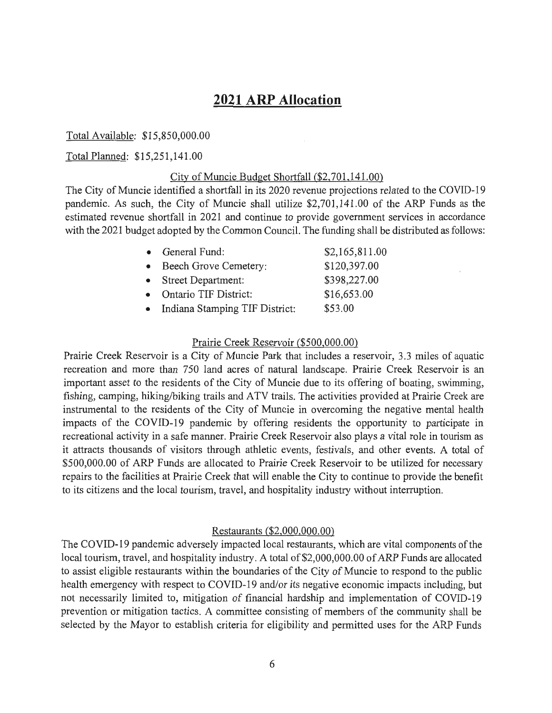## **2021 ARP Allocation**

#### Total Available: \$15,850,000.00

#### Total Planned: \$15,251,141.00

#### City of Muncie Budget Shortfall (\$2,701,141.00)

The City of Muncie identified a shortfall in its 2020 revenue projections related to the COVID-19 pandemic. As such, the City of Muncie shall utilize \$2,701,141.00 of the ARP Funds as the estimated revenue shortfall in 2021 and continue to provide government services in accordance with the 2021 budget adopted by the Common Council. The funding shall be distributed as follows:

| • General Fund:                | \$2,165,811.00 |
|--------------------------------|----------------|
| Beech Grove Cemetery:          | \$120,397.00   |
| <b>Street Department:</b>      | \$398,227.00   |
| <b>Ontario TIF District:</b>   | \$16,653.00    |
| Indiana Stamping TIF District: | \$53.00        |

#### Prairie Creek Reservoir (\$500,000.00)

Prairie Creek Reservoir is a City of Muncie Park that includes a reservoir, 3.3 miles of aquatic recreation and more than 750 land acres of natural landscape. Prairie Creek Reservoir is an important asset to the residents of the City of Muncie due to its offering of boating, swimming, fishing, camping, hiking/biking trails and ATV trails. The activities provided at Prairie Creek are instrumental to the residents of the City of Muncie in overcoming the negative mental health impacts of the COVID-19 pandemic by offering residents the opportunity to participate in recreational activity in a safe manner. Prairie Creek Reservoir also plays a vital role in tourism as it attracts thousands of visitors through athletic events, festivals, and other events. A total of \$500,000.00 of ARP Funds are allocated to Prairie Creek Reservoir to be utilized for necessary repairs to the facilities at Prairie Creek that will enable the City to continue to provide the benefit to its citizens and the local tourism, travel, and hospitality industry without interruption.

#### Restaurants (\$2,000,000.00)

The COVID-19 pandemic adversely impacted local restaurants, which are vital components of the local tourism, travel, and hospitality industry. A total of \$2,000,000.00 of ARP Funds are allocated to assist eligible restaurants within the boundaries of the City of Muncie to respond to the public health emergency with respect to COVID-19 and/or its negative economic impacts including, but not necessarily limited to, mitigation of financial hardship and implementation of COVID-19 prevention or mitigation tactics. A committee consisting of members of the community shall be selected by the Mayor to establish criteria for eligibility and permitted uses for the ARP Funds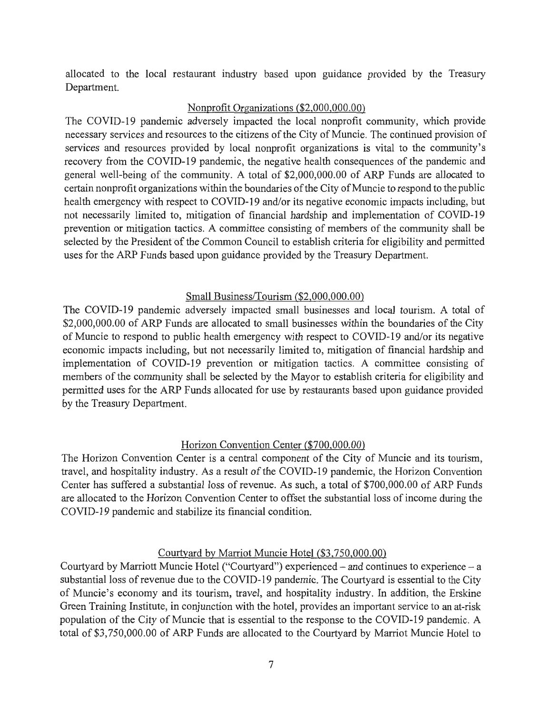allocated to the local restaurant industry based upon guidance provided by the Treasury Department.

#### Nonprofit Organizations (\$2,000,000.00)

The COVID-19 pandemic adversely impacted the local nonprofit community, which provide necessary services and resources to the citizens of the City of Muncie. The continued provision of services and resources provided by local nonprofit organizations is vital to the community's recovery from the COVID-19 pandemic, the negative health consequences of the pandemic and general well-being of the community. A total of \$2,000,000.00 of ARP Funds are allocated to certain nonprofit organizations within the boundaries of the City of Muncie to respond to the public health emergency with respect to COVID-19 and/or its negative economic impacts including, but not necessarily limited to, mitigation of financial hardship and implementation of COVID-19 prevention or mitigation tactics. A committee consisting of members of the community shall be selected by the President of the Common Council to establish criteria for eligibility and permitted uses for the ARP Funds based upon guidance provided by the Treasury Department.

#### Small Business/Tourism (\$2,000,000.00)

The COVID-19 pandemic adversely impacted small businesses and local tourism. A total of \$2,000,000.00 of ARP Funds are allocated to small businesses within the boundaries of the City of Muncie to respond to public health emergency with respect to COVID-19 and/or its negative economic impacts including, but not necessarily limited to, mitigation of financial hardship and implementation of COVID-19 prevention or mitigation tactics. A committee consisting of members of the community shall be selected by the Mayor to establish criteria for eligibility and permitted uses for the ARP Funds allocated for use by restaurants based upon guidance provided by the Treasury Department.

#### Horizon Convention Center (\$700,000.00)

The Horizon Convention Center is a central component of the City of Muncie and its tourism, travel, and hospitality industry. As a result of the COVID-19 pandemic, the Horizon Convention Center has suffered a substantial loss of revenue. As such, a total of \$700,000.00 of ARP Funds are allocated to the Horizon Convention Center to offset the substantial loss of income during the COVID-19 pandemic and stabilize its financial condition.

#### Courtyard by Marriot Muncie Hotel (\$3,750,000.00)

Courtyard by Marriott Muncie Hotel ("Courtyard") experienced  $-$  and continues to experience  $-$  a substantial loss of revenue due to the COVID-19 pandemic. The Courtyard is essential to the City of Muncie's economy and its tourism, travel, and hospitality industry. In addition, the Erskine Green Training Institute, in conjunction with the hotel, provides an important service to an at-risk population of the City of Muncie that is essential to the response to the COVID-19 pandemic. A total of \$3,750,000.00 of ARP Funds are allocated to the Courtyard by Marriot Muncie Hotel to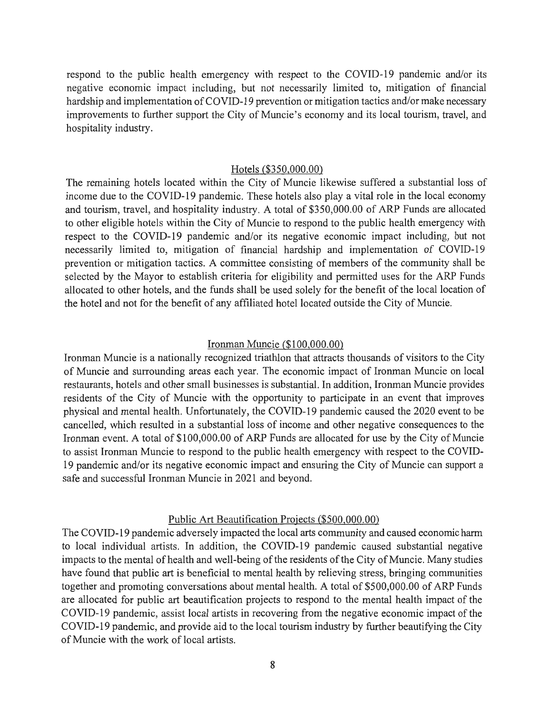respond to the public health emergency with respect to the COVID-19 pandemic and/or its negative economic impact including, but not necessarily limited to, mitigation of financial hardship and implementation of COVID-19 prevention or mitigation tactics and/or make necessary improvements to further support the City of Muncie's economy and its local tourism, travel, and hospitality industry.

#### Hotels (\$350,000.00)

The remaining hotels located within the City of Muncie likewise suffered a substantial loss of income due to the COVID-19 pandemic. These hotels also play a vital role in the local economy and tourism, travel, and hospitality industry. A total of \$350,000.00 of ARP Funds are allocated to other eligible hotels within the City of Muncie to respond to the public health emergency with respect to the COVID-19 pandemic and/or its negative economic impact including, but not necessarily limited to, mitigation of financial hardship and implementation of COVID-19 prevention or mitigation tactics. A committee consisting of members of the community shall be selected by the Mayor to establish criteria for eligibility and permitted uses for the ARP Funds allocated to other hotels, and the funds shall be used solely for the benefit of the local location of the hotel and not for the benefit of any affiliated hotel located outside the City of Muncie.

#### Ironman Muncie (\$100,000.00)

Ironman Muncie is a nationally recognized triathlon that attracts thousands of visitors to the City of Muncie and surrounding areas each year. The economic impact of Ironman Muncie on local restaurants, hotels and other small businesses is substantial. In addition, Ironman Muncie provides residents of the City of Muncie with the opportunity to participate in an event that improves physical and mental health. Unfortunately, the COVID-19 pandemic caused the 2020 event to be cancelled, which resulted in a substantial loss of income and other negative consequences to the Ironman event. A total of \$100,000.00 of ARP Funds are allocated for use by the City of Muncie to assist Ironman Muncie to respond to the public health emergency with respect to the COVID-19 pandemic and/or its negative economic impact and ensuring the City of Muncie can support a safe and successful Ironman Muncie in 2021 and beyond.

#### Public Art Beautification Projects (\$500,000.00)

The COVID-19 pandemic adversely impacted the local arts community and caused economic harm to local individual artists. In addition, the COVID-19 pandemic caused substantial negative impacts to the mental of health and well-being of the residents of the City of Muncie. Many studies have found that public art is beneficial to mental health by relieving stress, bringing communities together and promoting conversations about mental health. A total of \$500,000.00 of ARP Funds are allocated for public art beautification projects to respond to the mental health impact of the COVID-19 pandemic, assist local artists in recovering from the negative economic impact of the COVID-19 pandemic, and provide aid to the local tourism industry by further beautifying the City of Muncie with the work of local artists.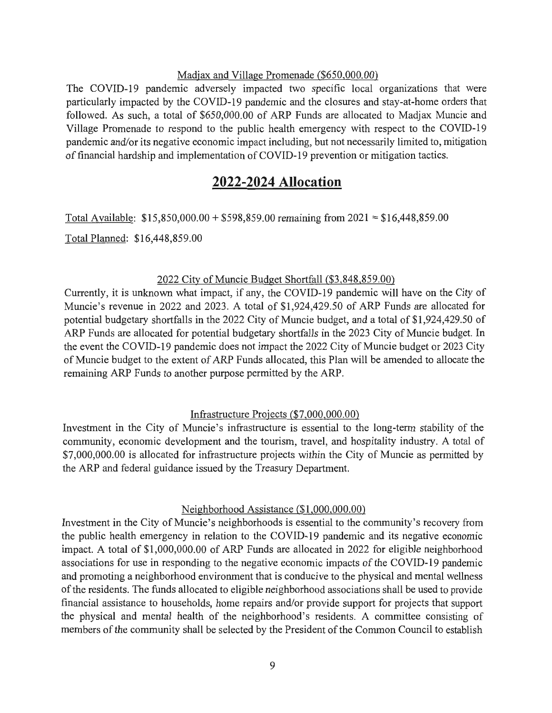#### Madjax and Village Promenade (\$650,000.00)

The COVID-19 pandemic adversely impacted two specific local organizations that were particularly impacted by the COVID-19 pandemic and the closures and stay-at-home orders that followed. As such, a total of \$650,000.00 of ARP Funds are allocated to Madjax Muncie and Village Promenade to respond to the public health emergency with respect to the COVID-19 pandemic and/or its negative economic impact including, but not necessarily limited to, mitigation of financial hardship and implementation of COVID-19 prevention or mitigation tactics.

### **2022-2024 Allocation**

Total Available: \$15,850,000.00 + \$598,859.00 remaining from 2021 = \$16,448,859.00

Total Planned: \$16,448,859.00

#### 2022 City of Muncie Budget Shortfall (\$3,848,859.00)

Currently, it is unknown what impact, if any, the COVID-19 pandemic will have on the City of Muncie's revenue in 2022 and 2023. A total of \$1,924,429.50 of ARP Funds are allocated for potential budgetary shortfalls in the 2022 City of Muncie budget, and a total of \$1,924,429.50 of ARP Funds are allocated for potential budgetary shortfalls in the 2023 City of Muncie budget. In the event the COVID-19 pandemic does not impact the 2022 City of Muncie budget or 2023 City of Muncie budget to the extent of ARP Funds allocated, this Plan will be amended to allocate the remaining ARP Funds to another purpose permitted by the ARP.

#### Infrastructure Projects (\$7,000,000.00)

Investment in the City of Muncie's infrastructure is essential to the long-term stability of the community, economic development and the tourism, travel, and hospitality industry. A total of \$7,000,000.00 is allocated for infrastructure projects within the City of Muncie as permitted by the ARP and federal guidance issued by the Treasury Department.

#### Neighborhood Assistance (\$1 ,000,000.00)

Investment in the City of Muncie's neighborhoods is essential to the community's recovery from the public health emergency in relation to the COVID-19 pandemic and its negative economic impact. A total of \$1,000,000.00 of ARP Funds are allocated in 2022 for eligible neighborhood associations for use in responding to the negative economic impacts of the COVID-19 pandemic and promoting a neighborhood environment that is conducive to the physical and mental wellness of the residents. The funds allocated to eligible neighborhood associations shall be used to provide financial assistance to households, home repairs and/or provide support for projects that support the physical and mental health of the neighborhood's residents. A committee consisting of members of the community shall be selected by the President of the Common Council to establish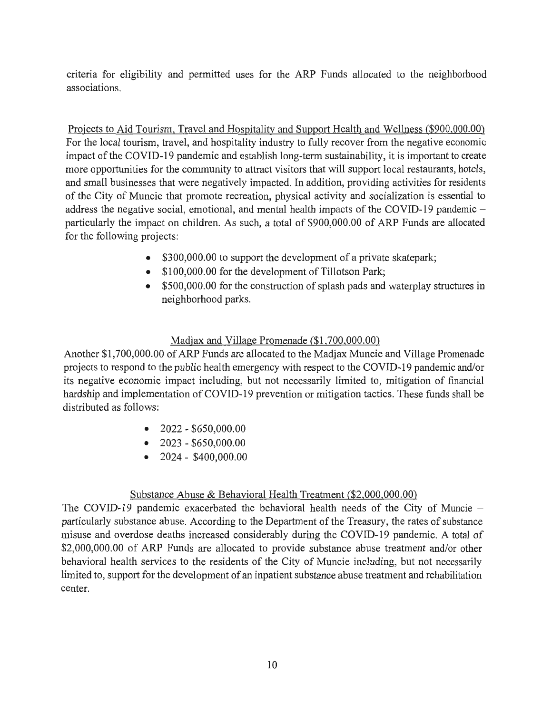criteria for eligibility and permitted uses for the ARP Funds allocated to the neighborhood associations.

Projects to Aid Tourism, Travel and Hospitality and Support Health and Wellness (\$900,000.00) For the local tourism, travel, and hospitality industry to fully recover from the negative economic impact of the COVID-19 pandemic and establish long-term sustainability, it is important to create more opportunities for the community to attract visitors that will support local restaurants, hotels, and small businesses that were negatively impacted. In addition, providing activities for residents of the City of Muncie that promote recreation, physical activity and socialization is essential to address the negative social, emotional, and mental health impacts of the COVID-19 pandemic  $$ particularly the impact on children. As such, a total of \$900,000.00 of ARP Funds are allocated for the following projects:

- \$300,000.00 to support the development of a private skatepark;
- \$100,000.00 for the development of Tillotson Park;
- \$500,000.00 for the construction of splash pads and waterplay structures in neighborhood parks.

#### Madjax and Village Promenade (\$1,700,000.00)

Another \$1,700,000.00 of ARP Funds are allocated to the Madjax Muncie and Village Promenade projects to respond to the public health emergency with respect to the COVID-19 pandemic and/or its negative economic impact including, but not necessarily limited to, mitigation of financial hardship and implementation of COVID-19 prevention or mitigation tactics. These funds shall be distributed as follows:

- $\bullet$  2022 \$650,000.00
- $\bullet$  2023 \$650,000.00
- $\bullet$  2024 \$400,000,00

#### Substance Abuse & Behavioral Health Treatment (\$2,000,000.00)

The COVID-19 pandemic exacerbated the behavioral health needs of the City of Muncie – particularly substance abuse. According to the Department of the Treasury, the rates of substance misuse and overdose deaths increased considerably during the COVID-19 pandemic. A total of \$2,000,000.00 of ARP Funds are allocated to provide substance abuse treatment and/or other behavioral health services to the residents of the City of Muncie including, but not necessarily limited to, support for the development of an inpatient substance abuse treatment and rehabilitation center.